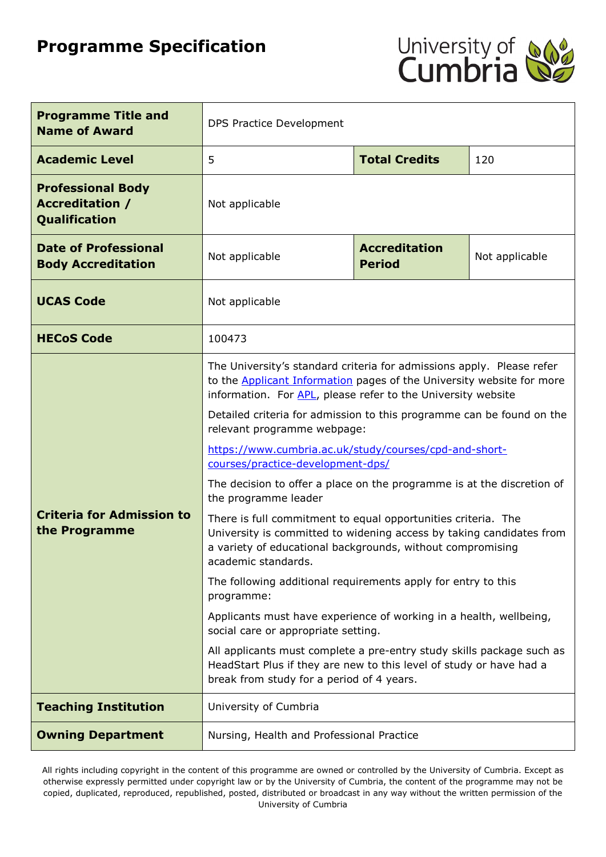# **Programme Specification**



| <b>Programme Title and</b><br><b>Name of Award</b>                  | DPS Practice Development                                                                                                                                                                                                                                                                                                                                                                                                                                                                                                                                                                                                                                                                                                                                                                                                                                                                                                                                                                                                                                                                                                                              |                      |                |  |
|---------------------------------------------------------------------|-------------------------------------------------------------------------------------------------------------------------------------------------------------------------------------------------------------------------------------------------------------------------------------------------------------------------------------------------------------------------------------------------------------------------------------------------------------------------------------------------------------------------------------------------------------------------------------------------------------------------------------------------------------------------------------------------------------------------------------------------------------------------------------------------------------------------------------------------------------------------------------------------------------------------------------------------------------------------------------------------------------------------------------------------------------------------------------------------------------------------------------------------------|----------------------|----------------|--|
| <b>Academic Level</b>                                               | 5                                                                                                                                                                                                                                                                                                                                                                                                                                                                                                                                                                                                                                                                                                                                                                                                                                                                                                                                                                                                                                                                                                                                                     | <b>Total Credits</b> | 120            |  |
| <b>Professional Body</b><br><b>Accreditation /</b><br>Qualification | Not applicable                                                                                                                                                                                                                                                                                                                                                                                                                                                                                                                                                                                                                                                                                                                                                                                                                                                                                                                                                                                                                                                                                                                                        |                      |                |  |
| <b>Date of Professional</b><br><b>Body Accreditation</b>            | <b>Accreditation</b><br>Not applicable<br><b>Period</b>                                                                                                                                                                                                                                                                                                                                                                                                                                                                                                                                                                                                                                                                                                                                                                                                                                                                                                                                                                                                                                                                                               |                      | Not applicable |  |
| <b>UCAS Code</b>                                                    | Not applicable                                                                                                                                                                                                                                                                                                                                                                                                                                                                                                                                                                                                                                                                                                                                                                                                                                                                                                                                                                                                                                                                                                                                        |                      |                |  |
| <b>HECoS Code</b>                                                   | 100473                                                                                                                                                                                                                                                                                                                                                                                                                                                                                                                                                                                                                                                                                                                                                                                                                                                                                                                                                                                                                                                                                                                                                |                      |                |  |
| <b>Criteria for Admission to</b><br>the Programme                   | The University's standard criteria for admissions apply. Please refer<br>to the <b>Applicant Information</b> pages of the University website for more<br>information. For APL, please refer to the University website<br>Detailed criteria for admission to this programme can be found on the<br>relevant programme webpage:<br>https://www.cumbria.ac.uk/study/courses/cpd-and-short-<br>courses/practice-development-dps/<br>The decision to offer a place on the programme is at the discretion of<br>the programme leader<br>There is full commitment to equal opportunities criteria. The<br>University is committed to widening access by taking candidates from<br>a variety of educational backgrounds, without compromising<br>academic standards.<br>The following additional requirements apply for entry to this<br>programme:<br>Applicants must have experience of working in a health, wellbeing,<br>social care or appropriate setting.<br>All applicants must complete a pre-entry study skills package such as<br>HeadStart Plus if they are new to this level of study or have had a<br>break from study for a period of 4 years. |                      |                |  |
| <b>Teaching Institution</b>                                         | University of Cumbria                                                                                                                                                                                                                                                                                                                                                                                                                                                                                                                                                                                                                                                                                                                                                                                                                                                                                                                                                                                                                                                                                                                                 |                      |                |  |
| <b>Owning Department</b>                                            | Nursing, Health and Professional Practice                                                                                                                                                                                                                                                                                                                                                                                                                                                                                                                                                                                                                                                                                                                                                                                                                                                                                                                                                                                                                                                                                                             |                      |                |  |

All rights including copyright in the content of this programme are owned or controlled by the University of Cumbria. Except as otherwise expressly permitted under copyright law or by the University of Cumbria, the content of the programme may not be copied, duplicated, reproduced, republished, posted, distributed or broadcast in any way without the written permission of the University of Cumbria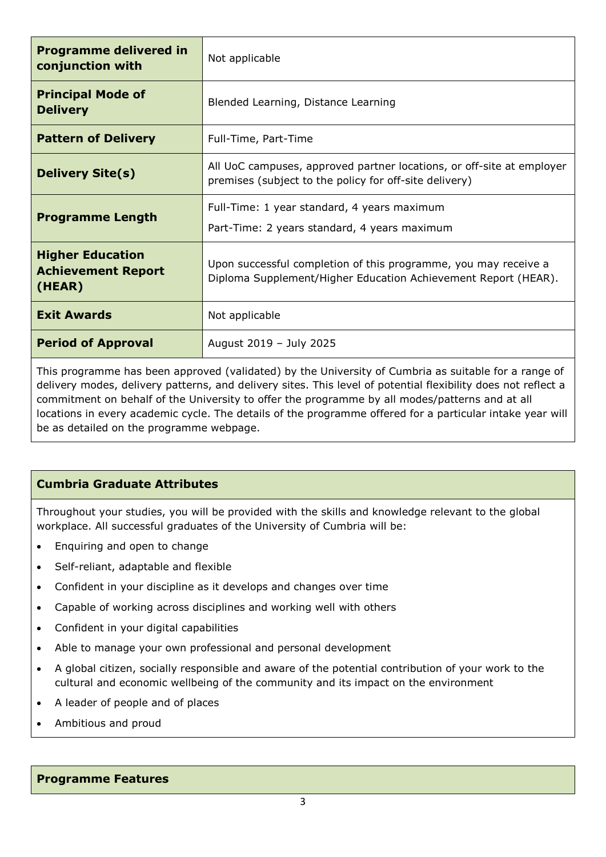| <b>Programme delivered in</b><br>conjunction with                                                    | Not applicable                                                                                                                    |  |  |
|------------------------------------------------------------------------------------------------------|-----------------------------------------------------------------------------------------------------------------------------------|--|--|
| <b>Principal Mode of</b><br><b>Delivery</b>                                                          | Blended Learning, Distance Learning                                                                                               |  |  |
| <b>Pattern of Delivery</b>                                                                           | Full-Time, Part-Time                                                                                                              |  |  |
| <b>Delivery Site(s)</b>                                                                              | All UoC campuses, approved partner locations, or off-site at employer<br>premises (subject to the policy for off-site delivery)   |  |  |
| <b>Programme Length</b>                                                                              | Full-Time: 1 year standard, 4 years maximum<br>Part-Time: 2 years standard, 4 years maximum                                       |  |  |
| <b>Higher Education</b><br><b>Achievement Report</b><br>(HEAR)                                       | Upon successful completion of this programme, you may receive a<br>Diploma Supplement/Higher Education Achievement Report (HEAR). |  |  |
| <b>Exit Awards</b>                                                                                   | Not applicable                                                                                                                    |  |  |
| <b>Period of Approval</b>                                                                            | August 2019 - July 2025                                                                                                           |  |  |
| This programmo has been approved (validated) by the University of Cumbria as suitable fer a range of |                                                                                                                                   |  |  |

This programme has been approved (validated) by the University of Cumbria as suitable for a range of delivery modes, delivery patterns, and delivery sites. This level of potential flexibility does not reflect a commitment on behalf of the University to offer the programme by all modes/patterns and at all locations in every academic cycle. The details of the programme offered for a particular intake year will be as detailed on the programme webpage.

### **Cumbria Graduate Attributes**

Throughout your studies, you will be provided with the skills and knowledge relevant to the global workplace. All successful graduates of the University of Cumbria will be:

- Enquiring and open to change
- Self-reliant, adaptable and flexible
- Confident in your discipline as it develops and changes over time
- Capable of working across disciplines and working well with others
- Confident in your digital capabilities
- Able to manage your own professional and personal development
- A global citizen, socially responsible and aware of the potential contribution of your work to the cultural and economic wellbeing of the community and its impact on the environment
- A leader of people and of places
- Ambitious and proud

#### **Programme Features**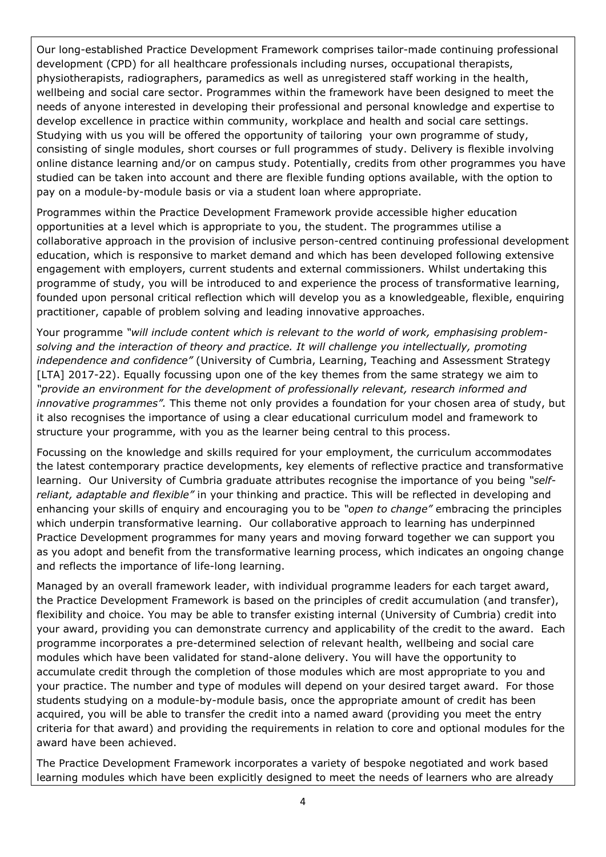Our long-established Practice Development Framework comprises tailor-made continuing professional development (CPD) for all healthcare professionals including nurses, occupational therapists, physiotherapists, radiographers, paramedics as well as unregistered staff working in the health, wellbeing and social care sector. Programmes within the framework have been designed to meet the needs of anyone interested in developing their professional and personal knowledge and expertise to develop excellence in practice within community, workplace and health and social care settings. Studying with us you will be offered the opportunity of tailoring your own programme of study, consisting of single modules, short courses or full programmes of study. Delivery is flexible involving online distance learning and/or on campus study. Potentially, credits from other programmes you have studied can be taken into account and there are flexible funding options available, with the option to pay on a module-by-module basis or via a student loan where appropriate.

Programmes within the Practice Development Framework provide accessible higher education opportunities at a level which is appropriate to you, the student. The programmes utilise a collaborative approach in the provision of inclusive person-centred continuing professional development education, which is responsive to market demand and which has been developed following extensive engagement with employers, current students and external commissioners. Whilst undertaking this programme of study, you will be introduced to and experience the process of transformative learning, founded upon personal critical reflection which will develop you as a knowledgeable, flexible, enquiring practitioner, capable of problem solving and leading innovative approaches.

Your programme *"will include content which is relevant to the world of work, emphasising problemsolving and the interaction of theory and practice. It will challenge you intellectually, promoting independence and confidence"* (University of Cumbria, Learning, Teaching and Assessment Strategy [LTA] 2017-22). Equally focussing upon one of the key themes from the same strategy we aim to *"provide an environment for the development of professionally relevant, research informed and innovative programmes".* This theme not only provides a foundation for your chosen area of study, but it also recognises the importance of using a clear educational curriculum model and framework to structure your programme, with you as the learner being central to this process.

Focussing on the knowledge and skills required for your employment, the curriculum accommodates the latest contemporary practice developments, key elements of reflective practice and transformative learning. Our University of Cumbria graduate attributes recognise the importance of you being *"selfreliant, adaptable and flexible"* in your thinking and practice. This will be reflected in developing and enhancing your skills of enquiry and encouraging you to be *"open to change"* embracing the principles which underpin transformative learning. Our collaborative approach to learning has underpinned Practice Development programmes for many years and moving forward together we can support you as you adopt and benefit from the transformative learning process, which indicates an ongoing change and reflects the importance of life-long learning.

Managed by an overall framework leader, with individual programme leaders for each target award, the Practice Development Framework is based on the principles of credit accumulation (and transfer), flexibility and choice. You may be able to transfer existing internal (University of Cumbria) credit into your award, providing you can demonstrate currency and applicability of the credit to the award. Each programme incorporates a pre-determined selection of relevant health, wellbeing and social care modules which have been validated for stand-alone delivery. You will have the opportunity to accumulate credit through the completion of those modules which are most appropriate to you and your practice. The number and type of modules will depend on your desired target award. For those students studying on a module-by-module basis, once the appropriate amount of credit has been acquired, you will be able to transfer the credit into a named award (providing you meet the entry criteria for that award) and providing the requirements in relation to core and optional modules for the award have been achieved.

The Practice Development Framework incorporates a variety of bespoke negotiated and work based learning modules which have been explicitly designed to meet the needs of learners who are already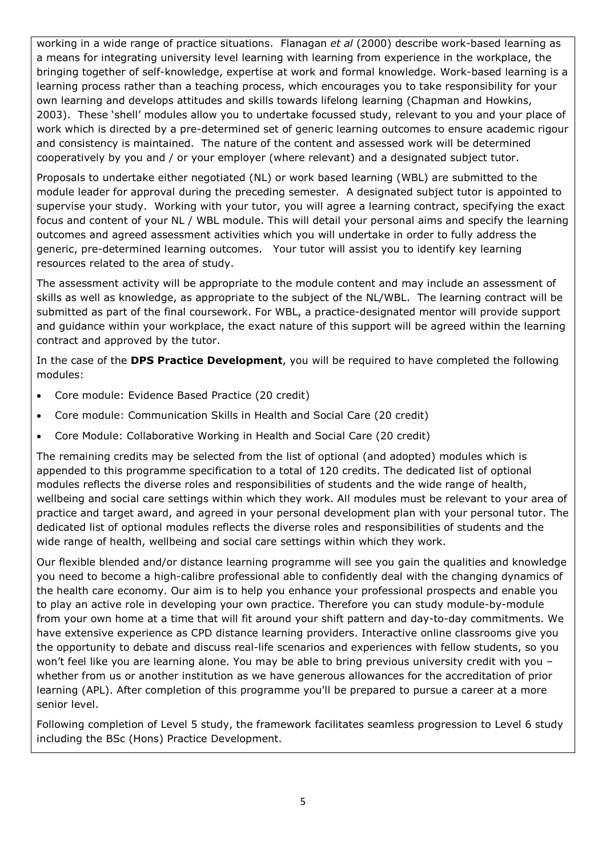working in a wide range of practice situations. Flanagan *et al* (2000) describe work-based learning as a means for integrating university level learning with learning from experience in the workplace, the bringing together of self-knowledge, expertise at work and formal knowledge. Work-based learning is a learning process rather than a teaching process, which encourages you to take responsibility for your own learning and develops attitudes and skills towards lifelong learning (Chapman and Howkins, 2003). These 'shell' modules allow you to undertake focussed study, relevant to you and your place of work which is directed by a pre-determined set of generic learning outcomes to ensure academic rigour and consistency is maintained. The nature of the content and assessed work will be determined cooperatively by you and / or your employer (where relevant) and a designated subject tutor.

Proposals to undertake either negotiated (NL) or work based learning (WBL) are submitted to the module leader for approval during the preceding semester. A designated subject tutor is appointed to supervise your study. Working with your tutor, you will agree a learning contract, specifying the exact focus and content of your NL / WBL module. This will detail your personal aims and specify the learning outcomes and agreed assessment activities which you will undertake in order to fully address the generic, pre-determined learning outcomes. Your tutor will assist you to identify key learning resources related to the area of study.

The assessment activity will be appropriate to the module content and may include an assessment of skills as well as knowledge, as appropriate to the subject of the NL/WBL. The learning contract will be submitted as part of the final coursework. For WBL, a practice-designated mentor will provide support and guidance within your workplace, the exact nature of this support will be agreed within the learning contract and approved by the tutor.

In the case of the **DPS Practice Development**, you will be required to have completed the following modules:

- Core module: Evidence Based Practice (20 credit)
- Core module: Communication Skills in Health and Social Care (20 credit)
- Core Module: Collaborative Working in Health and Social Care (20 credit)

The remaining credits may be selected from the list of optional (and adopted) modules which is appended to this programme specification to a total of 120 credits. The dedicated list of optional modules reflects the diverse roles and responsibilities of students and the wide range of health, wellbeing and social care settings within which they work. All modules must be relevant to your area of practice and target award, and agreed in your personal development plan with your personal tutor. The dedicated list of optional modules reflects the diverse roles and responsibilities of students and the wide range of health, wellbeing and social care settings within which they work.

Our flexible blended and/or distance learning programme will see you gain the qualities and knowledge you need to become a high-calibre professional able to confidently deal with the changing dynamics of the health care economy. Our aim is to help you enhance your professional prospects and enable you to play an active role in developing your own practice. Therefore you can study module-by-module from your own home at a time that will fit around your shift pattern and day-to-day commitments. We have extensive experience as CPD distance learning providers. Interactive online classrooms give you the opportunity to debate and discuss real-life scenarios and experiences with fellow students, so you won't feel like you are learning alone. You may be able to bring previous university credit with you – whether from us or another institution as we have generous allowances for the accreditation of prior learning (APL). After completion of this programme you'll be prepared to pursue a career at a more senior level.

Following completion of Level 5 study, the framework facilitates seamless progression to Level 6 study including the BSc (Hons) Practice Development.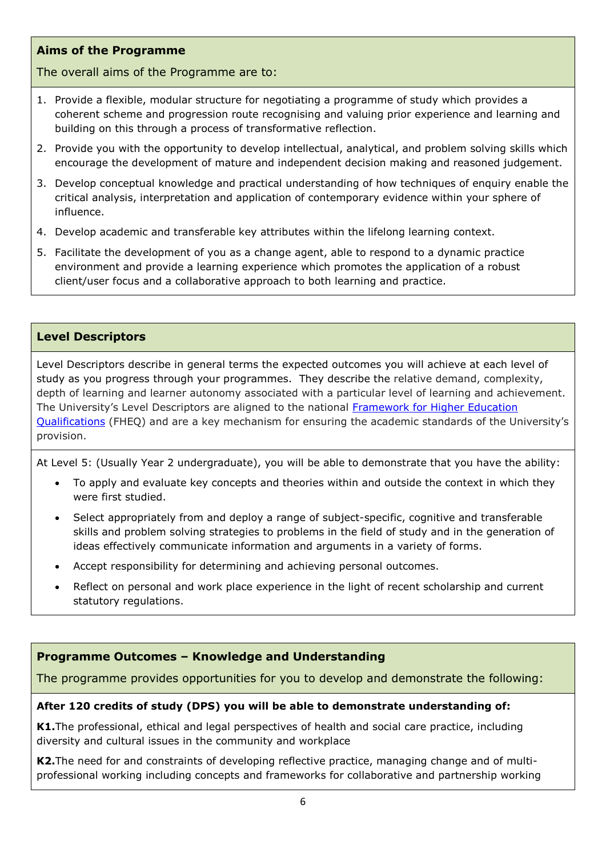### **Aims of the Programme**

The overall aims of the Programme are to:

- 1. Provide a flexible, modular structure for negotiating a programme of study which provides a coherent scheme and progression route recognising and valuing prior experience and learning and building on this through a process of transformative reflection.
- 2. Provide you with the opportunity to develop intellectual, analytical, and problem solving skills which encourage the development of mature and independent decision making and reasoned judgement.
- 3. Develop conceptual knowledge and practical understanding of how techniques of enquiry enable the critical analysis, interpretation and application of contemporary evidence within your sphere of influence.
- 4. Develop academic and transferable key attributes within the lifelong learning context.
- 5. Facilitate the development of you as a change agent, able to respond to a dynamic practice environment and provide a learning experience which promotes the application of a robust client/user focus and a collaborative approach to both learning and practice.

#### **Level Descriptors**

Level Descriptors describe in general terms the expected outcomes you will achieve at each level of study as you progress through your programmes. They describe the relative demand, complexity, depth of learning and learner autonomy associated with a particular level of learning and achievement. The University's Level Descriptors are aligned to the national [Framework for Higher Education](http://www.qaa.ac.uk/en/Publications/Documents/qualifications-frameworks.pdf)  [Qualifications](http://www.qaa.ac.uk/en/Publications/Documents/qualifications-frameworks.pdf) (FHEQ) and are a key mechanism for ensuring the academic standards of the University's provision.

At Level 5: (Usually Year 2 undergraduate), you will be able to demonstrate that you have the ability:

- To apply and evaluate key concepts and theories within and outside the context in which they were first studied.
- Select appropriately from and deploy a range of subject-specific, cognitive and transferable skills and problem solving strategies to problems in the field of study and in the generation of ideas effectively communicate information and arguments in a variety of forms.
- Accept responsibility for determining and achieving personal outcomes.
- Reflect on personal and work place experience in the light of recent scholarship and current statutory regulations.

### **Programme Outcomes – Knowledge and Understanding**

The programme provides opportunities for you to develop and demonstrate the following:

#### **After 120 credits of study (DPS) you will be able to demonstrate understanding of:**

**K1.**The professional, ethical and legal perspectives of health and social care practice, including diversity and cultural issues in the community and workplace

**K2.**The need for and constraints of developing reflective practice, managing change and of multiprofessional working including concepts and frameworks for collaborative and partnership working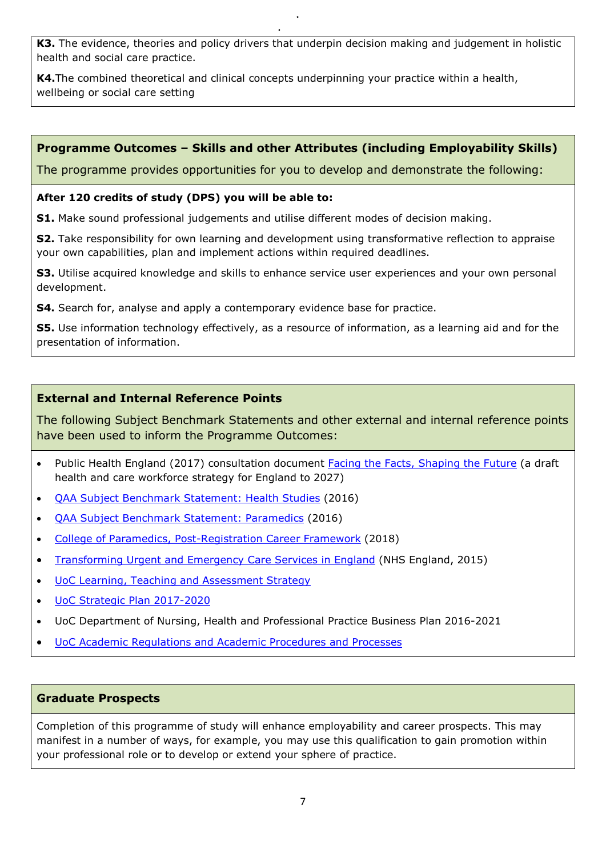**K3.** The evidence, theories and policy drivers that underpin decision making and judgement in holistic health and social care practice.

**K4.**The combined theoretical and clinical concepts underpinning your practice within a health, wellbeing or social care setting

# **Programme Outcomes – Skills and other Attributes (including Employability Skills)**

The programme provides opportunities for you to develop and demonstrate the following:

#### **After 120 credits of study (DPS) you will be able to:**

**S1.** Make sound professional judgements and utilise different modes of decision making.

**S2.** Take responsibility for own learning and development using transformative reflection to appraise your own capabilities, plan and implement actions within required deadlines.

**S3.** Utilise acquired knowledge and skills to enhance service user experiences and your own personal development.

**S4.** Search for, analyse and apply a contemporary evidence base for practice.

**S5.** Use information technology effectively, as a resource of information, as a learning aid and for the presentation of information.

### **External and Internal Reference Points**

The following Subject Benchmark Statements and other external and internal reference points have been used to inform the Programme Outcomes:

- Public Health England (2017) consultation document [Facing the Facts, Shaping the Future](https://www.hee.nhs.uk/our-work/workforce-strategy) (a draft health and care workforce strategy for England to 2027)
- [QAA Subject Benchmark Statement: Health Studies](https://www.qaa.ac.uk/docs/qaa/subject-benchmark-statements/sbs-health-studies-16.pdf?sfvrsn=779ff781_8) (2016)
- [QAA Subject Benchmark Statement: Paramedics](https://www.qaa.ac.uk/docs/qaa/subject-benchmark-statements/sbs-paramedics-16.pdf?sfvrsn=9594f781_12) (2016)
- [College of Paramedics, Post-Registration Career Framework](https://www.collegeofparamedics.co.uk/publications/post-reg-career-framework) (2018)
- [Transforming Urgent and Emergency Care Services in England](https://www.england.nhs.uk/wp-content/uploads/2015/06/trans-uec.pdf) (NHS England, 2015)
- [UoC Learning, Teaching and Assessment Strategy](https://www.cumbria.ac.uk/media/university-of-cumbria-website/content-assets/public/aqs/documents/LearningTeachingAssessmentStrategy.pdf)
- [UoC Strategic Plan 2017-2020](https://www.cumbria.ac.uk/about/publications/strategic-plan/)
- UoC Department of Nursing, Health and Professional Practice Business Plan 2016-2021
- [UoC Academic Regulations and Academic Procedures and Processes](https://www.cumbria.ac.uk/about/organisation/professional-services/academic-quality-and-development/academic-regulations/)

#### **Graduate Prospects**

Completion of this programme of study will enhance employability and career prospects. This may manifest in a number of ways, for example, you may use this qualification to gain promotion within your professional role or to develop or extend your sphere of practice.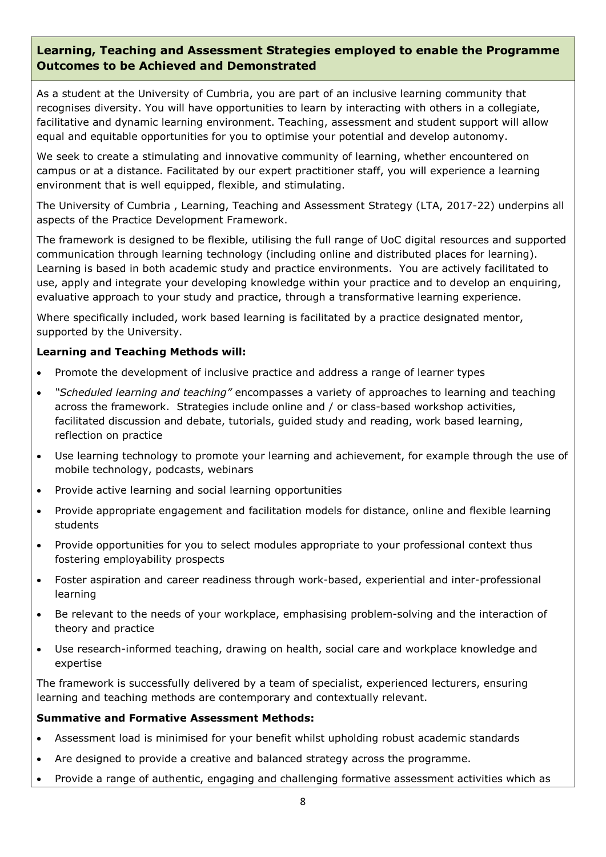### **Learning, Teaching and Assessment Strategies employed to enable the Programme Outcomes to be Achieved and Demonstrated**

As a student at the University of Cumbria, you are part of an inclusive learning community that recognises diversity. You will have opportunities to learn by interacting with others in a collegiate, facilitative and dynamic learning environment. Teaching, assessment and student support will allow equal and equitable opportunities for you to optimise your potential and develop autonomy.

We seek to create a stimulating and innovative community of learning, whether encountered on campus or at a distance. Facilitated by our expert practitioner staff, you will experience a learning environment that is well equipped, flexible, and stimulating.

The University of Cumbria , Learning, Teaching and Assessment Strategy (LTA, 2017-22) underpins all aspects of the Practice Development Framework.

The framework is designed to be flexible, utilising the full range of UoC digital resources and supported communication through learning technology (including online and distributed places for learning). Learning is based in both academic study and practice environments. You are actively facilitated to use, apply and integrate your developing knowledge within your practice and to develop an enquiring, evaluative approach to your study and practice, through a transformative learning experience.

Where specifically included, work based learning is facilitated by a practice designated mentor, supported by the University.

#### **Learning and Teaching Methods will:**

- Promote the development of inclusive practice and address a range of learner types
- *"Scheduled learning and teaching"* encompasses a variety of approaches to learning and teaching across the framework. Strategies include online and / or class-based workshop activities, facilitated discussion and debate, tutorials, guided study and reading, work based learning, reflection on practice
- Use learning technology to promote your learning and achievement, for example through the use of mobile technology, podcasts, webinars
- Provide active learning and social learning opportunities
- Provide appropriate engagement and facilitation models for distance, online and flexible learning students
- Provide opportunities for you to select modules appropriate to your professional context thus fostering employability prospects
- Foster aspiration and career readiness through work-based, experiential and inter-professional learning
- Be relevant to the needs of your workplace, emphasising problem-solving and the interaction of theory and practice
- Use research-informed teaching, drawing on health, social care and workplace knowledge and expertise

The framework is successfully delivered by a team of specialist, experienced lecturers, ensuring learning and teaching methods are contemporary and contextually relevant.

#### **Summative and Formative Assessment Methods:**

- Assessment load is minimised for your benefit whilst upholding robust academic standards
- Are designed to provide a creative and balanced strategy across the programme.
- Provide a range of authentic, engaging and challenging formative assessment activities which as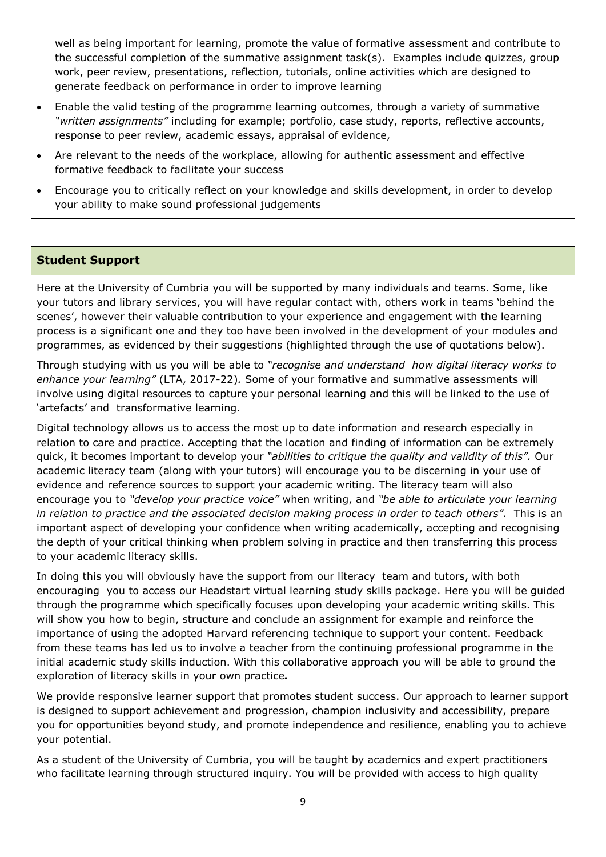well as being important for learning, promote the value of formative assessment and contribute to the successful completion of the summative assignment task(s). Examples include quizzes, group work, peer review, presentations, reflection, tutorials, online activities which are designed to generate feedback on performance in order to improve learning

- Enable the valid testing of the programme learning outcomes, through a variety of summative *"written assignments"* including for example; portfolio, case study, reports, reflective accounts, response to peer review, academic essays, appraisal of evidence,
- Are relevant to the needs of the workplace, allowing for authentic assessment and effective formative feedback to facilitate your success
- Encourage you to critically reflect on your knowledge and skills development, in order to develop your ability to make sound professional judgements

### **Student Support**

Here at the University of Cumbria you will be supported by many individuals and teams. Some, like your tutors and library services, you will have regular contact with, others work in teams 'behind the scenes', however their valuable contribution to your experience and engagement with the learning process is a significant one and they too have been involved in the development of your modules and programmes, as evidenced by their suggestions (highlighted through the use of quotations below).

Through studying with us you will be able to *"recognise and understand how digital literacy works to enhance your learning"* (LTA, 2017-22)*.* Some of your formative and summative assessments will involve using digital resources to capture your personal learning and this will be linked to the use of 'artefacts' and transformative learning.

Digital technology allows us to access the most up to date information and research especially in relation to care and practice. Accepting that the location and finding of information can be extremely quick, it becomes important to develop your *"abilities to critique the quality and validity of this".* Our academic literacy team (along with your tutors) will encourage you to be discerning in your use of evidence and reference sources to support your academic writing. The literacy team will also encourage you to *"develop your practice voice"* when writing, and *"be able to articulate your learning in relation to practice and the associated decision making process in order to teach others".* This is an important aspect of developing your confidence when writing academically, accepting and recognising the depth of your critical thinking when problem solving in practice and then transferring this process to your academic literacy skills.

In doing this you will obviously have the support from our literacy team and tutors, with both encouraging you to access our Headstart virtual learning study skills package. Here you will be guided through the programme which specifically focuses upon developing your academic writing skills. This will show you how to begin, structure and conclude an assignment for example and reinforce the importance of using the adopted Harvard referencing technique to support your content. Feedback from these teams has led us to involve a teacher from the continuing professional programme in the initial academic study skills induction. With this collaborative approach you will be able to ground the exploration of literacy skills in your own practice*.*

We provide responsive learner support that promotes student success. Our approach to learner support is designed to support achievement and progression, champion inclusivity and accessibility, prepare you for opportunities beyond study, and promote independence and resilience, enabling you to achieve your potential.

As a student of the University of Cumbria, you will be taught by academics and expert practitioners who facilitate learning through structured inquiry. You will be provided with access to high quality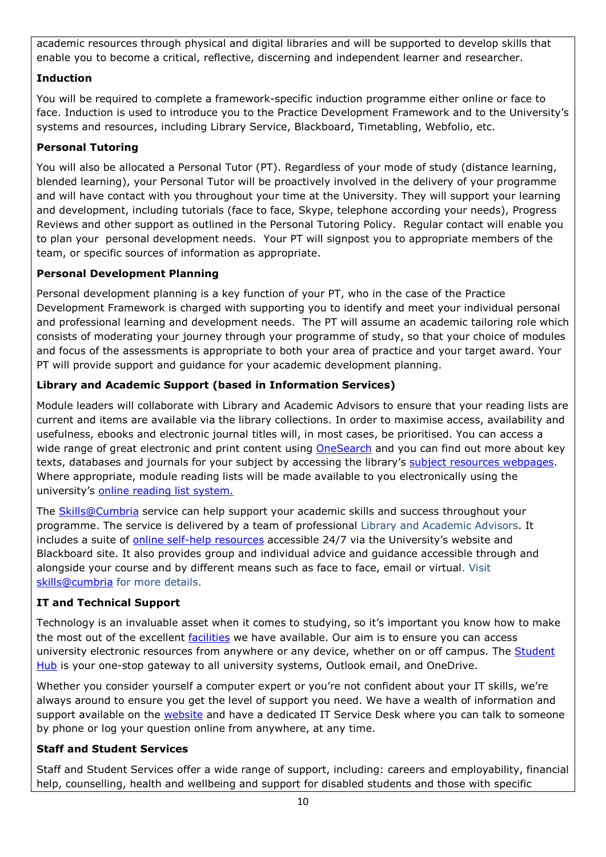academic resources through physical and digital libraries and will be supported to develop skills that enable you to become a critical, reflective, discerning and independent learner and researcher.

# **Induction**

You will be required to complete a framework-specific induction programme either online or face to face. Induction is used to introduce you to the Practice Development Framework and to the University's systems and resources, including Library Service, Blackboard, Timetabling, Webfolio, etc.

# **Personal Tutoring**

You will also be allocated a Personal Tutor (PT). Regardless of your mode of study (distance learning, blended learning), your Personal Tutor will be proactively involved in the delivery of your programme and will have contact with you throughout your time at the University. They will support your learning and development, including tutorials (face to face, Skype, telephone according your needs), Progress Reviews and other support as outlined in the Personal Tutoring Policy. Regular contact will enable you to plan your personal development needs. Your PT will signpost you to appropriate members of the team, or specific sources of information as appropriate.

# **Personal Development Planning**

Personal development planning is a key function of your PT, who in the case of the Practice Development Framework is charged with supporting you to identify and meet your individual personal and professional learning and development needs. The PT will assume an academic tailoring role which consists of moderating your journey through your programme of study, so that your choice of modules and focus of the assessments is appropriate to both your area of practice and your target award. Your PT will provide support and guidance for your academic development planning.

# **Library and Academic Support (based in Information Services)**

Module leaders will collaborate with Library and Academic Advisors to ensure that your reading lists are current and items are available via the library collections. In order to maximise access, availability and usefulness, ebooks and electronic journal titles will, in most cases, be prioritised. You can access a wide range of great electronic and print content using [OneSearch](http://cumbria-primo.hosted.exlibrisgroup.com/primo_library/libweb/action/search.do?vid=44UOC_VU1) and you can find out more about key texts, databases and journals for your subject by accessing the library's [subject resources webpages.](http://my.cumbria.ac.uk/StudentLife/Learning/Resources/Subjects/Home.aspx) Where appropriate, module reading lists will be made available to you electronically using the university's [online reading list system.](https://eu.alma.exlibrisgroup.com/leganto/readinglist/lists)

The [Skills@Cumbria](https://my.cumbria.ac.uk/Student-Life/Learning/Skills-Cumbria/) service can help support your academic skills and success throughout your programme. The service is delivered by a team of professional Library and Academic Advisors. It includes a suite of [online self-help resources](https://my.cumbria.ac.uk/Student-Life/Learning/Skills-Cumbria/) accessible 24/7 via the University's website and Blackboard site. It also provides group and individual advice and guidance accessible through and alongside your course and by different means such as face to face, email or virtual. Visit [skills@cumbria](https://my.cumbria.ac.uk/Student-Life/Learning/Skills-Cumbria/) for more details.

# **IT and Technical Support**

Technology is an invaluable asset when it comes to studying, so it's important you know how to make the most out of the excellent [facilities](https://www.cumbria.ac.uk/student-life/facilities/it-facilities/) we have available. Our aim is to ensure you can access university electronic resources from anywhere or any device, whether on or off campus. The Student [Hub](https://universityofcumbria.mydaycloud.com/dashboard/allsorts) is your one-stop gateway to all university systems, Outlook email, and OneDrive.

Whether you consider yourself a computer expert or you're not confident about your IT skills, we're always around to ensure you get the level of support you need. We have a wealth of information and support available on the [website](https://my.cumbria.ac.uk/Student-Life/it-media/) and have a dedicated IT Service Desk where you can talk to someone by phone or log your question online from anywhere, at any time.

# **Staff and Student Services**

Staff and Student Services offer a wide range of support, including: careers and employability, financial help, counselling, health and wellbeing and support for disabled students and those with specific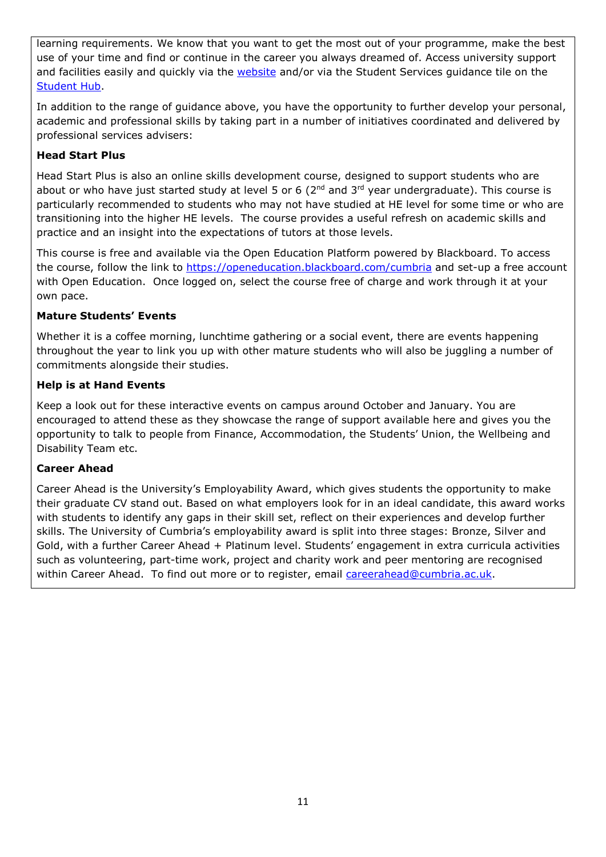learning requirements. We know that you want to get the most out of your programme, make the best use of your time and find or continue in the career you always dreamed of. Access university support and facilities easily and quickly via the **website** and/or via the Student Services guidance tile on the [Student Hub.](https://universityofcumbria.mydaycloud.com/dashboard/allsorts)

In addition to the range of guidance above, you have the opportunity to further develop your personal, academic and professional skills by taking part in a number of initiatives coordinated and delivered by professional services advisers:

#### **Head Start Plus**

Head Start Plus is also an online skills development course, designed to support students who are about or who have just started study at level 5 or 6 ( $2<sup>nd</sup>$  and  $3<sup>rd</sup>$  year undergraduate). This course is particularly recommended to students who may not have studied at HE level for some time or who are transitioning into the higher HE levels. The course provides a useful refresh on academic skills and practice and an insight into the expectations of tutors at those levels.

This course is free and available via the Open Education Platform powered by Blackboard. To access the course, follow the link to<https://openeducation.blackboard.com/cumbria> and set-up a free account with Open Education. Once logged on, select the course free of charge and work through it at your own pace.

#### **Mature Students' Events**

Whether it is a coffee morning, lunchtime gathering or a social event, there are events happening throughout the year to link you up with other mature students who will also be juggling a number of commitments alongside their studies.

#### **Help is at Hand Events**

Keep a look out for these interactive events on campus around October and January. You are encouraged to attend these as they showcase the range of support available here and gives you the opportunity to talk to people from Finance, Accommodation, the Students' Union, the Wellbeing and Disability Team etc.

#### **Career Ahead**

Career Ahead is the University's Employability Award, which gives students the opportunity to make their graduate CV stand out. Based on what employers look for in an ideal candidate, this award works with students to identify any gaps in their skill set, reflect on their experiences and develop further skills. The University of Cumbria's employability award is split into three stages: Bronze, Silver and Gold, with a further Career Ahead + Platinum level. Students' engagement in extra curricula activities such as volunteering, part-time work, project and charity work and peer mentoring are recognised within Career Ahead. To find out more or to register, email [careerahead@cumbria.ac.uk.](mailto:careerahead@cumbria.ac.uk)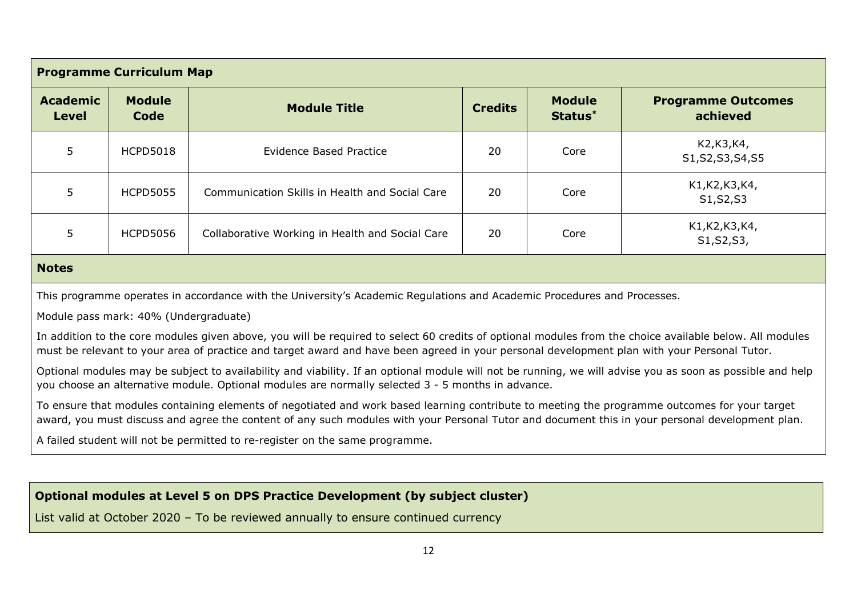| <b>Programme Curriculum Map</b>                                                                                                           |                                       |                                                                                                                                                                                                                                                                                                        |    |      |                                   |
|-------------------------------------------------------------------------------------------------------------------------------------------|---------------------------------------|--------------------------------------------------------------------------------------------------------------------------------------------------------------------------------------------------------------------------------------------------------------------------------------------------------|----|------|-----------------------------------|
| <b>Academic</b><br><b>Module</b><br><b>Module</b><br><b>Module Title</b><br><b>Credits</b><br>Status <sup>*</sup><br>Code<br><b>Level</b> |                                       | <b>Programme Outcomes</b><br>achieved                                                                                                                                                                                                                                                                  |    |      |                                   |
| 5                                                                                                                                         | <b>HCPD5018</b>                       | <b>Evidence Based Practice</b>                                                                                                                                                                                                                                                                         | 20 | Core | K2, K3, K4,<br>S1, S2, S3, S4, S5 |
| 5                                                                                                                                         | <b>HCPD5055</b>                       | Communication Skills in Health and Social Care                                                                                                                                                                                                                                                         | 20 | Core | K1, K2, K3, K4,<br>S1, S2, S3     |
| 5                                                                                                                                         | <b>HCPD5056</b>                       | Collaborative Working in Health and Social Care                                                                                                                                                                                                                                                        | 20 | Core | K1, K2, K3, K4,<br>S1, S2, S3,    |
| <b>Notes</b>                                                                                                                              |                                       |                                                                                                                                                                                                                                                                                                        |    |      |                                   |
|                                                                                                                                           |                                       | This programme operates in accordance with the University's Academic Regulations and Academic Procedures and Processes.                                                                                                                                                                                |    |      |                                   |
|                                                                                                                                           | Module pass mark: 40% (Undergraduate) |                                                                                                                                                                                                                                                                                                        |    |      |                                   |
|                                                                                                                                           |                                       | In addition to the core modules given above, you will be required to select 60 credits of optional modules from the choice available below. All modules<br>must be relevant to your area of practice and target award and have been agreed in your personal development plan with your Personal Tutor. |    |      |                                   |
|                                                                                                                                           |                                       | Optional modules may be subject to availability and viability. If an optional module will not be running, we will advise you as soon as possible and help<br>you choose an alternative module. Optional modules are normally selected 3 - 5 months in advance.                                         |    |      |                                   |
|                                                                                                                                           |                                       | To ensure that modules containing elements of negotiated and work based learning contribute to meeting the programme outcomes for your target<br>award, you must discuss and agree the content of any such modules with your Personal Tutor and document this in your personal development plan.       |    |      |                                   |
| A failed student will not be permitted to re-register on the same programme.                                                              |                                       |                                                                                                                                                                                                                                                                                                        |    |      |                                   |
|                                                                                                                                           |                                       |                                                                                                                                                                                                                                                                                                        |    |      |                                   |
| Optional modules at Level 5 on DPS Practice Development (by subject cluster)                                                              |                                       |                                                                                                                                                                                                                                                                                                        |    |      |                                   |
|                                                                                                                                           |                                       | List valid at October 2020 - To be reviewed annually to ensure continued currency                                                                                                                                                                                                                      |    |      |                                   |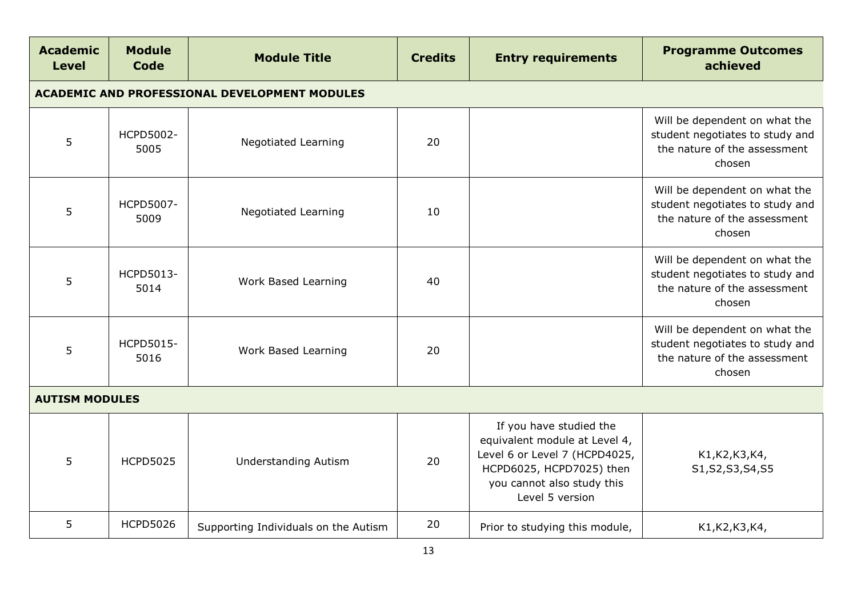| <b>Academic</b><br><b>Level</b> | <b>Module</b><br>Code                                | <b>Module Title</b>                  | <b>Credits</b> | <b>Entry requirements</b>                                                                                                                                              | <b>Programme Outcomes</b><br>achieved                                                                      |  |  |  |
|---------------------------------|------------------------------------------------------|--------------------------------------|----------------|------------------------------------------------------------------------------------------------------------------------------------------------------------------------|------------------------------------------------------------------------------------------------------------|--|--|--|
|                                 | <b>ACADEMIC AND PROFESSIONAL DEVELOPMENT MODULES</b> |                                      |                |                                                                                                                                                                        |                                                                                                            |  |  |  |
| 5                               | HCPD5002-<br>5005                                    | <b>Negotiated Learning</b>           | 20             |                                                                                                                                                                        | Will be dependent on what the<br>student negotiates to study and<br>the nature of the assessment<br>chosen |  |  |  |
| 5                               | HCPD5007-<br>5009                                    | <b>Negotiated Learning</b>           | 10             |                                                                                                                                                                        | Will be dependent on what the<br>student negotiates to study and<br>the nature of the assessment<br>chosen |  |  |  |
| 5                               | HCPD5013-<br>5014                                    | Work Based Learning                  | 40             |                                                                                                                                                                        | Will be dependent on what the<br>student negotiates to study and<br>the nature of the assessment<br>chosen |  |  |  |
| 5                               | HCPD5015-<br>5016                                    | Work Based Learning                  | 20             |                                                                                                                                                                        | Will be dependent on what the<br>student negotiates to study and<br>the nature of the assessment<br>chosen |  |  |  |
| <b>AUTISM MODULES</b>           |                                                      |                                      |                |                                                                                                                                                                        |                                                                                                            |  |  |  |
| 5                               | <b>HCPD5025</b>                                      | <b>Understanding Autism</b>          | 20             | If you have studied the<br>equivalent module at Level 4,<br>Level 6 or Level 7 (HCPD4025,<br>HCPD6025, HCPD7025) then<br>you cannot also study this<br>Level 5 version | K1, K2, K3, K4,<br>S1, S2, S3, S4, S5                                                                      |  |  |  |
| 5                               | <b>HCPD5026</b>                                      | Supporting Individuals on the Autism | 20             | Prior to studying this module,                                                                                                                                         | K1, K2, K3, K4,                                                                                            |  |  |  |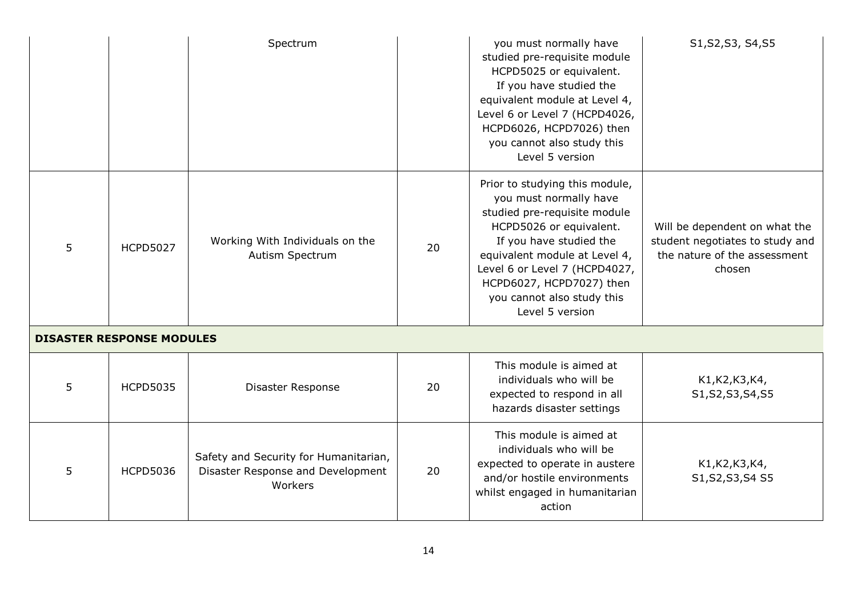|   |                                  | Spectrum                                                                              |    | you must normally have<br>studied pre-requisite module<br>HCPD5025 or equivalent.<br>If you have studied the<br>equivalent module at Level 4,<br>Level 6 or Level 7 (HCPD4026,<br>HCPD6026, HCPD7026) then<br>you cannot also study this<br>Level 5 version                                   | S1, S2, S3, S4, S5                                                                                         |
|---|----------------------------------|---------------------------------------------------------------------------------------|----|-----------------------------------------------------------------------------------------------------------------------------------------------------------------------------------------------------------------------------------------------------------------------------------------------|------------------------------------------------------------------------------------------------------------|
| 5 | <b>HCPD5027</b>                  | Working With Individuals on the<br>Autism Spectrum                                    | 20 | Prior to studying this module,<br>you must normally have<br>studied pre-requisite module<br>HCPD5026 or equivalent.<br>If you have studied the<br>equivalent module at Level 4,<br>Level 6 or Level 7 (HCPD4027,<br>HCPD6027, HCPD7027) then<br>you cannot also study this<br>Level 5 version | Will be dependent on what the<br>student negotiates to study and<br>the nature of the assessment<br>chosen |
|   | <b>DISASTER RESPONSE MODULES</b> |                                                                                       |    |                                                                                                                                                                                                                                                                                               |                                                                                                            |
| 5 | <b>HCPD5035</b>                  | Disaster Response                                                                     | 20 | This module is aimed at<br>individuals who will be<br>expected to respond in all<br>hazards disaster settings                                                                                                                                                                                 | K1, K2, K3, K4,<br>S1, S2, S3, S4, S5                                                                      |
| 5 | <b>HCPD5036</b>                  | Safety and Security for Humanitarian,<br>Disaster Response and Development<br>Workers | 20 | This module is aimed at<br>individuals who will be<br>expected to operate in austere<br>and/or hostile environments<br>whilst engaged in humanitarian<br>action                                                                                                                               | K1, K2, K3, K4,<br>S1, S2, S3, S4 S5                                                                       |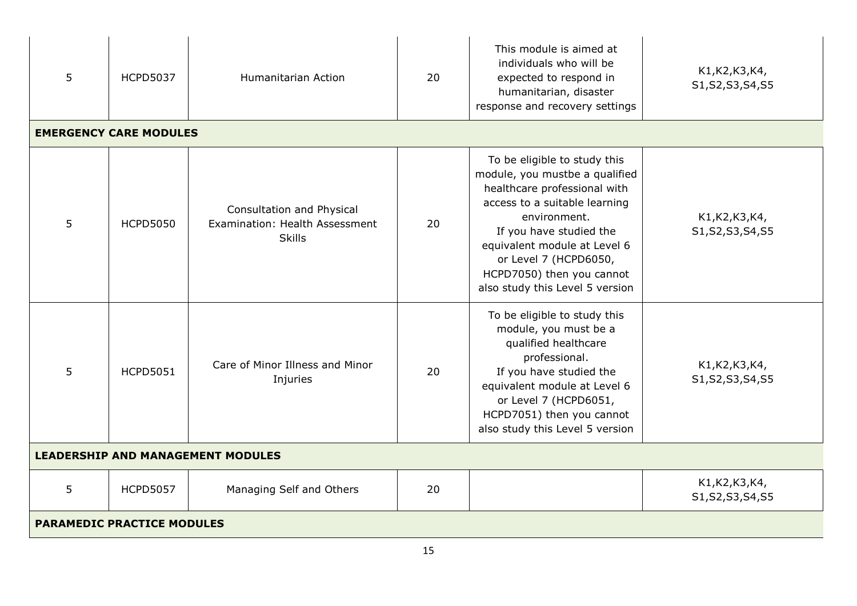| 5                                        | <b>HCPD5037</b>                   | Humanitarian Action                                                          | 20 | This module is aimed at<br>individuals who will be<br>expected to respond in<br>humanitarian, disaster<br>response and recovery settings                                                                                                                                                            | K1, K2, K3, K4,<br>S1, S2, S3, S4, S5 |
|------------------------------------------|-----------------------------------|------------------------------------------------------------------------------|----|-----------------------------------------------------------------------------------------------------------------------------------------------------------------------------------------------------------------------------------------------------------------------------------------------------|---------------------------------------|
|                                          | <b>EMERGENCY CARE MODULES</b>     |                                                                              |    |                                                                                                                                                                                                                                                                                                     |                                       |
| 5                                        | <b>HCPD5050</b>                   | Consultation and Physical<br>Examination: Health Assessment<br><b>Skills</b> | 20 | To be eligible to study this<br>module, you mustbe a qualified<br>healthcare professional with<br>access to a suitable learning<br>environment.<br>If you have studied the<br>equivalent module at Level 6<br>or Level 7 (HCPD6050,<br>HCPD7050) then you cannot<br>also study this Level 5 version | K1, K2, K3, K4,<br>S1, S2, S3, S4, S5 |
| 5                                        | <b>HCPD5051</b>                   | Care of Minor Illness and Minor<br>Injuries                                  | 20 | To be eligible to study this<br>module, you must be a<br>qualified healthcare<br>professional.<br>If you have studied the<br>equivalent module at Level 6<br>or Level 7 (HCPD6051,<br>HCPD7051) then you cannot<br>also study this Level 5 version                                                  | K1, K2, K3, K4,<br>S1, S2, S3, S4, S5 |
| <b>LEADERSHIP AND MANAGEMENT MODULES</b> |                                   |                                                                              |    |                                                                                                                                                                                                                                                                                                     |                                       |
| 5                                        | <b>HCPD5057</b>                   | Managing Self and Others                                                     | 20 |                                                                                                                                                                                                                                                                                                     | K1, K2, K3, K4,<br>S1, S2, S3, S4, S5 |
|                                          | <b>PARAMEDIC PRACTICE MODULES</b> |                                                                              |    |                                                                                                                                                                                                                                                                                                     |                                       |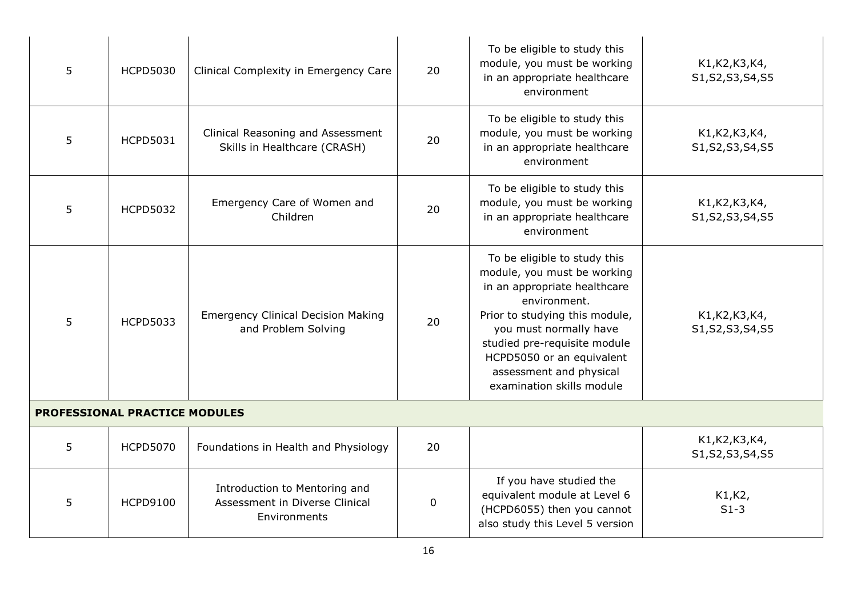| 5                                    | <b>HCPD5030</b> | Clinical Complexity in Emergency Care                                           | 20 | To be eligible to study this<br>module, you must be working<br>in an appropriate healthcare<br>environment                                                                                                                                                                                   | K1, K2, K3, K4,<br>S1, S2, S3, S4, S5 |  |
|--------------------------------------|-----------------|---------------------------------------------------------------------------------|----|----------------------------------------------------------------------------------------------------------------------------------------------------------------------------------------------------------------------------------------------------------------------------------------------|---------------------------------------|--|
| 5                                    | <b>HCPD5031</b> | Clinical Reasoning and Assessment<br>Skills in Healthcare (CRASH)               | 20 | To be eligible to study this<br>module, you must be working<br>in an appropriate healthcare<br>environment                                                                                                                                                                                   | K1, K2, K3, K4,<br>S1, S2, S3, S4, S5 |  |
| 5                                    | <b>HCPD5032</b> | Emergency Care of Women and<br>Children                                         | 20 | To be eligible to study this<br>module, you must be working<br>in an appropriate healthcare<br>environment                                                                                                                                                                                   | K1, K2, K3, K4,<br>S1, S2, S3, S4, S5 |  |
| 5                                    | <b>HCPD5033</b> | <b>Emergency Clinical Decision Making</b><br>and Problem Solving                | 20 | To be eligible to study this<br>module, you must be working<br>in an appropriate healthcare<br>environment.<br>Prior to studying this module,<br>you must normally have<br>studied pre-requisite module<br>HCPD5050 or an equivalent<br>assessment and physical<br>examination skills module | K1, K2, K3, K4,<br>S1, S2, S3, S4, S5 |  |
| <b>PROFESSIONAL PRACTICE MODULES</b> |                 |                                                                                 |    |                                                                                                                                                                                                                                                                                              |                                       |  |
| 5                                    | <b>HCPD5070</b> | Foundations in Health and Physiology                                            | 20 |                                                                                                                                                                                                                                                                                              | K1, K2, K3, K4,<br>S1, S2, S3, S4, S5 |  |
| 5                                    | <b>HCPD9100</b> | Introduction to Mentoring and<br>Assessment in Diverse Clinical<br>Environments | 0  | If you have studied the<br>equivalent module at Level 6<br>(HCPD6055) then you cannot<br>also study this Level 5 version                                                                                                                                                                     | K1,K2,<br>$S1-3$                      |  |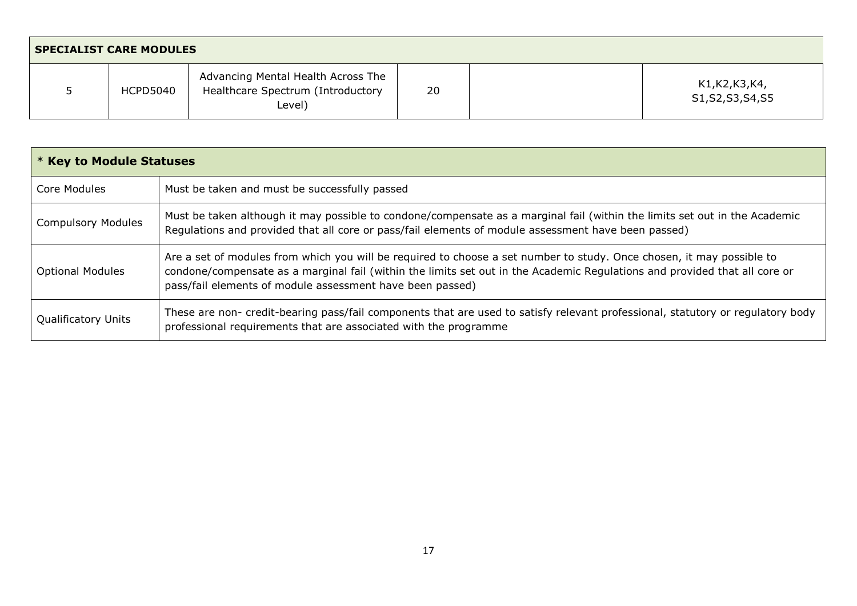| <b>SPECIALIST CARE MODULES</b> |                 |                                                                                   |    |  |                                |
|--------------------------------|-----------------|-----------------------------------------------------------------------------------|----|--|--------------------------------|
|                                | <b>HCPD5040</b> | Advancing Mental Health Across The<br>Healthcare Spectrum (Introductory<br>Level) | 20 |  | K1,K2,K3,K4,<br>S1,S2,S3,S4,S5 |

| <b>* Key to Module Statuses</b> |                                                                                                                                                                                                                                                                                                                  |  |  |  |
|---------------------------------|------------------------------------------------------------------------------------------------------------------------------------------------------------------------------------------------------------------------------------------------------------------------------------------------------------------|--|--|--|
| Core Modules                    | Must be taken and must be successfully passed                                                                                                                                                                                                                                                                    |  |  |  |
| <b>Compulsory Modules</b>       | Must be taken although it may possible to condone/compensate as a marginal fail (within the limits set out in the Academic<br>Regulations and provided that all core or pass/fail elements of module assessment have been passed)                                                                                |  |  |  |
| <b>Optional Modules</b>         | Are a set of modules from which you will be required to choose a set number to study. Once chosen, it may possible to<br>condone/compensate as a marginal fail (within the limits set out in the Academic Regulations and provided that all core or<br>pass/fail elements of module assessment have been passed) |  |  |  |
| <b>Qualificatory Units</b>      | These are non- credit-bearing pass/fail components that are used to satisfy relevant professional, statutory or regulatory body<br>professional requirements that are associated with the programme                                                                                                              |  |  |  |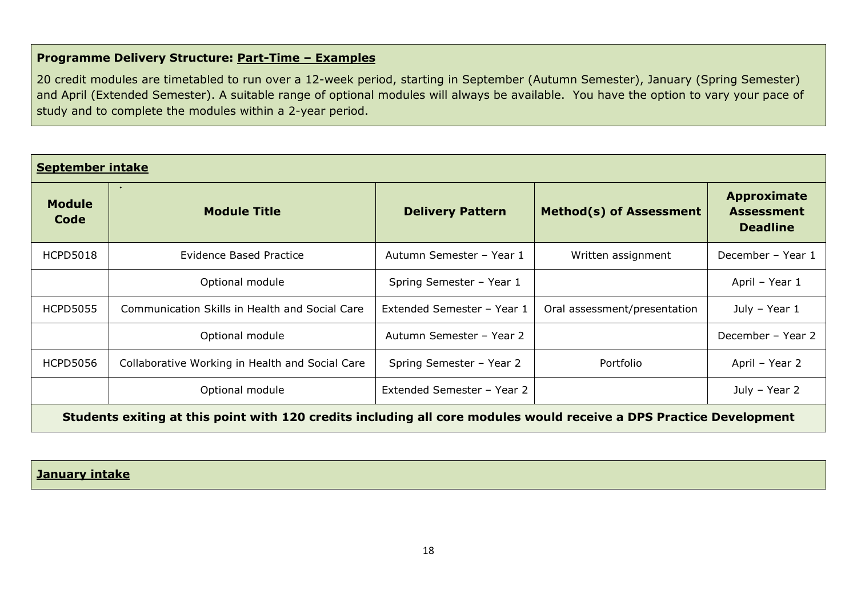# **Programme Delivery Structure: Part-Time – Examples**

20 credit modules are timetabled to run over a 12-week period, starting in September (Autumn Semester), January (Spring Semester) and April (Extended Semester). A suitable range of optional modules will always be available. You have the option to vary your pace of study and to complete the modules within a 2-year period.

| <b>September intake</b> |                                                                                                                     |                            |                                |                                                            |  |  |  |
|-------------------------|---------------------------------------------------------------------------------------------------------------------|----------------------------|--------------------------------|------------------------------------------------------------|--|--|--|
| <b>Module</b><br>Code   | $\bullet$<br><b>Module Title</b>                                                                                    | <b>Delivery Pattern</b>    | <b>Method(s) of Assessment</b> | <b>Approximate</b><br><b>Assessment</b><br><b>Deadline</b> |  |  |  |
| <b>HCPD5018</b>         | <b>Evidence Based Practice</b>                                                                                      | Autumn Semester - Year 1   | Written assignment             | December - Year 1                                          |  |  |  |
|                         | Optional module                                                                                                     | Spring Semester - Year 1   |                                | April - Year 1                                             |  |  |  |
| <b>HCPD5055</b>         | Communication Skills in Health and Social Care                                                                      | Extended Semester - Year 1 | Oral assessment/presentation   | July - Year 1                                              |  |  |  |
|                         | Optional module                                                                                                     | Autumn Semester - Year 2   |                                | December - Year 2                                          |  |  |  |
| <b>HCPD5056</b>         | Collaborative Working in Health and Social Care                                                                     | Spring Semester - Year 2   | Portfolio                      | April - Year 2                                             |  |  |  |
|                         | Optional module                                                                                                     | Extended Semester - Year 2 |                                | July - Year 2                                              |  |  |  |
|                         | Chudante exiting at this naint with 120 spedits including all sare medules would resolve a DDC Drastice Development |                            |                                |                                                            |  |  |  |

**Students exiting at this point with 120 credits including all core modules would receive a DPS Practice Development**

# **January intake**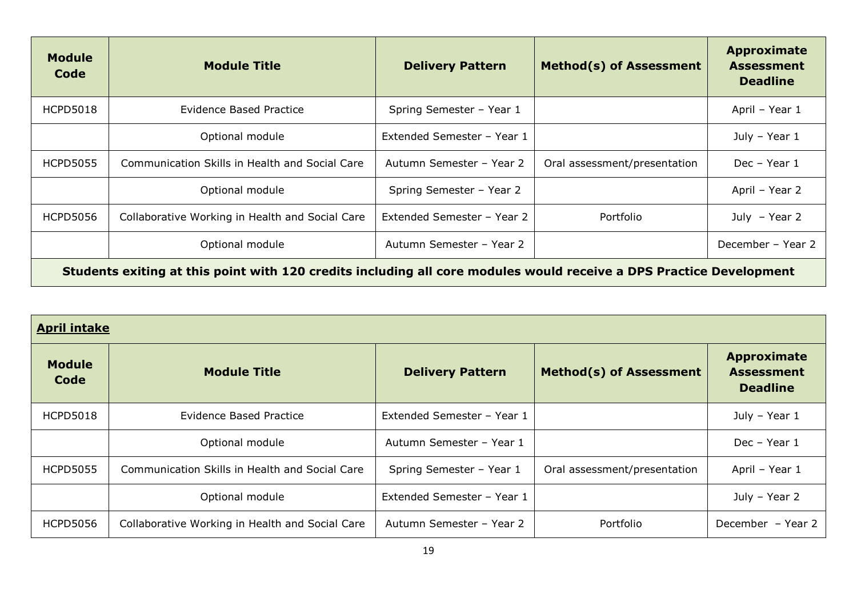| <b>Module</b><br>Code | <b>Module Title</b>                                                                                                 | <b>Delivery Pattern</b>    | <b>Method(s) of Assessment</b> | Approximate<br><b>Assessment</b><br><b>Deadline</b> |
|-----------------------|---------------------------------------------------------------------------------------------------------------------|----------------------------|--------------------------------|-----------------------------------------------------|
| <b>HCPD5018</b>       | <b>Evidence Based Practice</b>                                                                                      | Spring Semester - Year 1   |                                | April - Year 1                                      |
|                       | Optional module                                                                                                     | Extended Semester - Year 1 |                                | July - Year 1                                       |
| <b>HCPD5055</b>       | Communication Skills in Health and Social Care                                                                      | Autumn Semester - Year 2   | Oral assessment/presentation   | Dec - Year 1                                        |
|                       | Optional module                                                                                                     | Spring Semester - Year 2   |                                | April - Year 2                                      |
| <b>HCPD5056</b>       | Collaborative Working in Health and Social Care                                                                     | Extended Semester - Year 2 | Portfolio                      | July $-$ Year 2                                     |
|                       | Optional module                                                                                                     | Autumn Semester - Year 2   |                                | December - Year 2                                   |
|                       | Students exiting at this point with 120 credits including all core modules would receive a DPS Practice Development |                            |                                |                                                     |

| <b>April intake</b>   |                                                 |                            |                                |                                                            |  |  |  |  |
|-----------------------|-------------------------------------------------|----------------------------|--------------------------------|------------------------------------------------------------|--|--|--|--|
| <b>Module</b><br>Code | <b>Module Title</b>                             | <b>Delivery Pattern</b>    | <b>Method(s) of Assessment</b> | <b>Approximate</b><br><b>Assessment</b><br><b>Deadline</b> |  |  |  |  |
| <b>HCPD5018</b>       | Evidence Based Practice                         | Extended Semester - Year 1 |                                | July - Year 1                                              |  |  |  |  |
|                       | Optional module                                 | Autumn Semester - Year 1   |                                | Dec - Year 1                                               |  |  |  |  |
| <b>HCPD5055</b>       | Communication Skills in Health and Social Care  | Spring Semester - Year 1   | Oral assessment/presentation   | April - Year 1                                             |  |  |  |  |
|                       | Optional module                                 | Extended Semester - Year 1 |                                | July - Year 2                                              |  |  |  |  |
| <b>HCPD5056</b>       | Collaborative Working in Health and Social Care | Autumn Semester - Year 2   | Portfolio                      | December - Year 2                                          |  |  |  |  |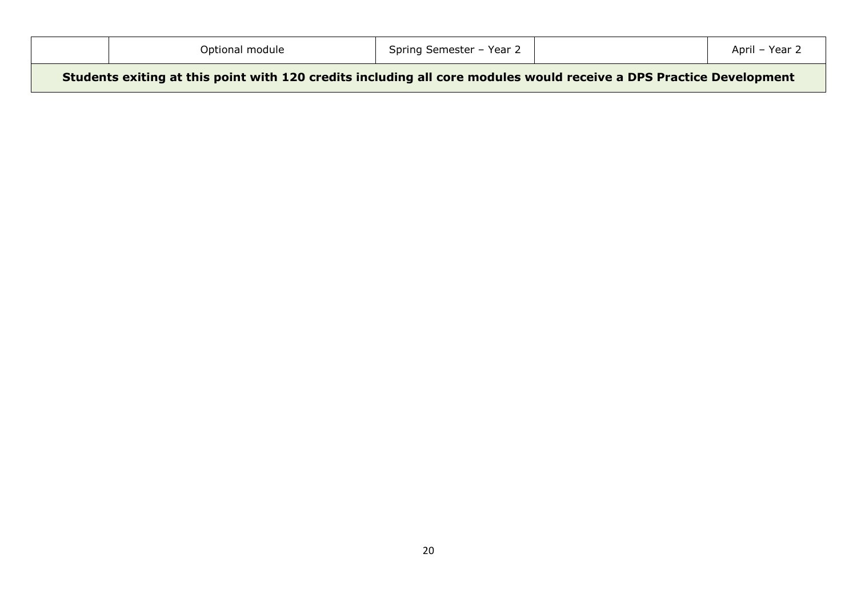| Optional module                                                                                                     | Spring Semester - Year 2 | April - Year 2 |
|---------------------------------------------------------------------------------------------------------------------|--------------------------|----------------|
| Students exiting at this point with 120 credits including all core modules would receive a DPS Practice Development |                          |                |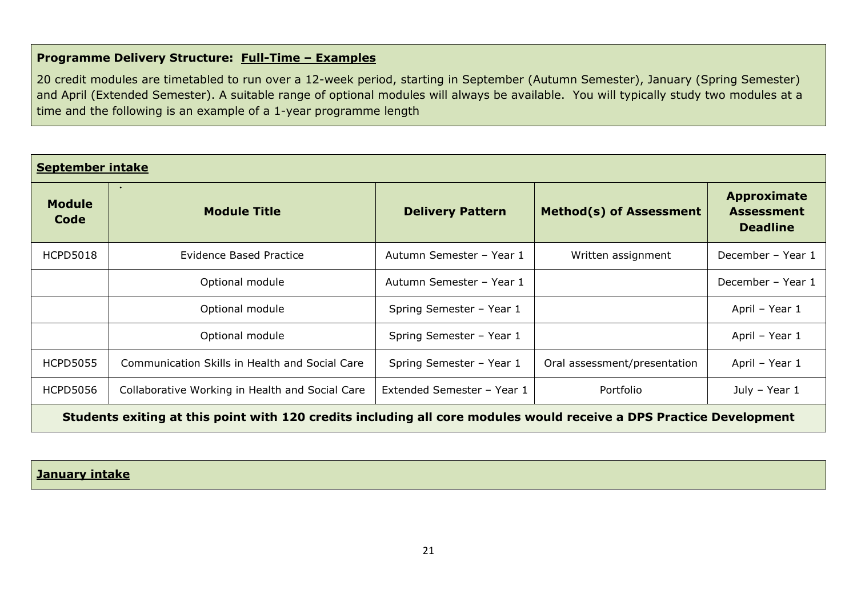# **Programme Delivery Structure: Full-Time – Examples**

20 credit modules are timetabled to run over a 12-week period, starting in September (Autumn Semester), January (Spring Semester) and April (Extended Semester). A suitable range of optional modules will always be available. You will typically study two modules at a time and the following is an example of a 1-year programme length

| <b>September intake</b>                                                                                             |                                                 |                            |                                |                                                            |
|---------------------------------------------------------------------------------------------------------------------|-------------------------------------------------|----------------------------|--------------------------------|------------------------------------------------------------|
| <b>Module</b><br>Code                                                                                               | $\bullet$<br><b>Module Title</b>                | <b>Delivery Pattern</b>    | <b>Method(s) of Assessment</b> | <b>Approximate</b><br><b>Assessment</b><br><b>Deadline</b> |
| <b>HCPD5018</b>                                                                                                     | <b>Evidence Based Practice</b>                  | Autumn Semester - Year 1   | Written assignment             | December - Year 1                                          |
|                                                                                                                     | Optional module                                 | Autumn Semester - Year 1   |                                | December - Year 1                                          |
|                                                                                                                     | Optional module                                 | Spring Semester - Year 1   |                                | April - Year 1                                             |
|                                                                                                                     | Optional module                                 | Spring Semester - Year 1   |                                | April - Year 1                                             |
| <b>HCPD5055</b>                                                                                                     | Communication Skills in Health and Social Care  | Spring Semester - Year 1   | Oral assessment/presentation   | April - Year 1                                             |
| <b>HCPD5056</b>                                                                                                     | Collaborative Working in Health and Social Care | Extended Semester - Year 1 | Portfolio                      | July - Year 1                                              |
| Students exiting at this point with 120 credits including all core modules would receive a DPS Practice Development |                                                 |                            |                                |                                                            |

# **January intake**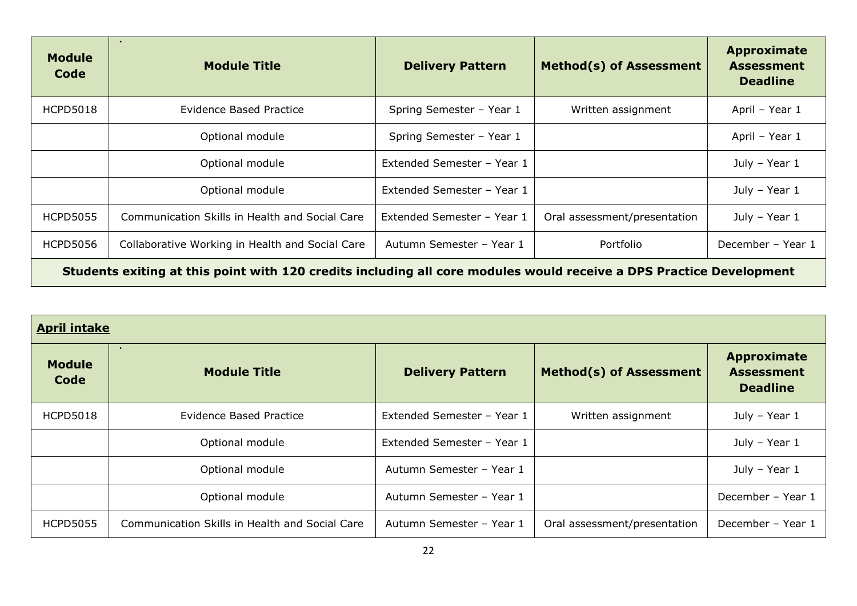| <b>Module</b><br>Code                                                                                               | $\bullet$<br><b>Module Title</b>                | <b>Delivery Pattern</b>    | <b>Method(s) of Assessment</b> | Approximate<br><b>Assessment</b><br><b>Deadline</b> |
|---------------------------------------------------------------------------------------------------------------------|-------------------------------------------------|----------------------------|--------------------------------|-----------------------------------------------------|
| <b>HCPD5018</b>                                                                                                     | <b>Evidence Based Practice</b>                  | Spring Semester - Year 1   | Written assignment             | April - Year 1                                      |
|                                                                                                                     | Optional module                                 | Spring Semester - Year 1   |                                | April - Year 1                                      |
|                                                                                                                     | Optional module                                 | Extended Semester - Year 1 |                                | July - Year 1                                       |
|                                                                                                                     | Optional module                                 | Extended Semester - Year 1 |                                | July - Year 1                                       |
| <b>HCPD5055</b>                                                                                                     | Communication Skills in Health and Social Care  | Extended Semester - Year 1 | Oral assessment/presentation   | July - Year 1                                       |
| <b>HCPD5056</b>                                                                                                     | Collaborative Working in Health and Social Care | Autumn Semester - Year 1   | Portfolio                      | December - Year 1                                   |
| Students exiting at this point with 120 credits including all core modules would receive a DPS Practice Development |                                                 |                            |                                |                                                     |

| <b>April intake</b>   |                                                |                            |                                |                                                            |
|-----------------------|------------------------------------------------|----------------------------|--------------------------------|------------------------------------------------------------|
| <b>Module</b><br>Code | $\bullet$<br><b>Module Title</b>               | <b>Delivery Pattern</b>    | <b>Method(s) of Assessment</b> | <b>Approximate</b><br><b>Assessment</b><br><b>Deadline</b> |
| <b>HCPD5018</b>       | Evidence Based Practice                        | Extended Semester - Year 1 | Written assignment             | July - Year 1                                              |
|                       | Optional module                                | Extended Semester - Year 1 |                                | July - Year 1                                              |
|                       | Optional module                                | Autumn Semester - Year 1   |                                | July - Year 1                                              |
|                       | Optional module                                | Autumn Semester - Year 1   |                                | December - Year 1                                          |
| <b>HCPD5055</b>       | Communication Skills in Health and Social Care | Autumn Semester - Year 1   | Oral assessment/presentation   | December - Year 1                                          |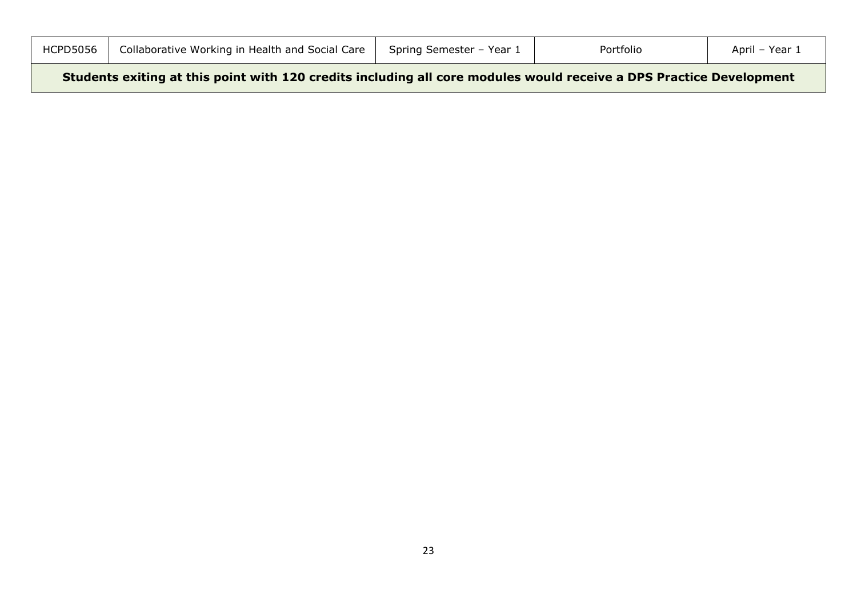| <b>HCPD5056</b> | Collaborative Working in Health and Social Care | Spring Semester - Year 1 | Portfolio | April – Year ⊥ |
|-----------------|-------------------------------------------------|--------------------------|-----------|----------------|
|                 |                                                 |                          |           |                |

**Students exiting at this point with 120 credits including all core modules would receive a DPS Practice Development**